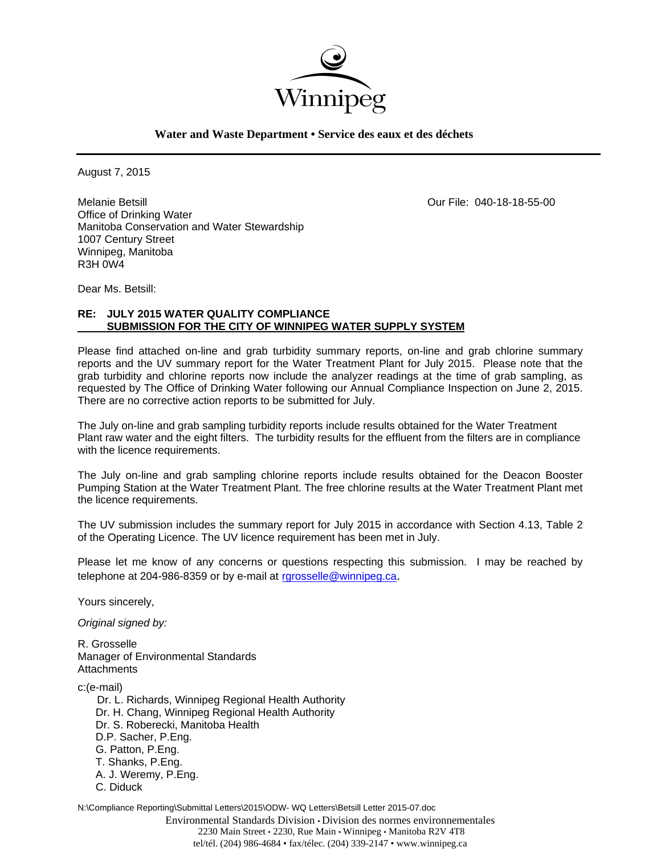

**Water and Waste Department • Service des eaux et des déchets**

August 7, 2015

Melanie Betsill Our File: 040-18-18-55-00 Office of Drinking Water Manitoba Conservation and Water Stewardship 1007 Century Street Winnipeg, Manitoba R3H 0W4

Dear Ms. Betsill:

# **RE: JULY 2015 WATER QUALITY COMPLIANCE SUBMISSION FOR THE CITY OF WINNIPEG WATER SUPPLY SYSTEM**

Please find attached on-line and grab turbidity summary reports, on-line and grab chlorine summary reports and the UV summary report for the Water Treatment Plant for July 2015. Please note that the grab turbidity and chlorine reports now include the analyzer readings at the time of grab sampling, as requested by The Office of Drinking Water following our Annual Compliance Inspection on June 2, 2015. There are no corrective action reports to be submitted for July.

The July on-line and grab sampling turbidity reports include results obtained for the Water Treatment Plant raw water and the eight filters. The turbidity results for the effluent from the filters are in compliance with the licence requirements.

The July on-line and grab sampling chlorine reports include results obtained for the Deacon Booster Pumping Station at the Water Treatment Plant. The free chlorine results at the Water Treatment Plant met the licence requirements.

The UV submission includes the summary report for July 2015 in accordance with Section 4.13, Table 2 of the Operating Licence. The UV licence requirement has been met in July.

Please let me know of any concerns or questions respecting this submission. I may be reached by telephone at 204-986-8359 or by e-mail at rgrosselle@winnipeg.ca.

Yours sincerely,

*Original signed by:* 

R. Grosselle Manager of Environmental Standards **Attachments** 

c:(e-mail)

 Dr. L. Richards, Winnipeg Regional Health Authority Dr. H. Chang, Winnipeg Regional Health Authority Dr. S. Roberecki, Manitoba Health D.P. Sacher, P.Eng. G. Patton, P.Eng. T. Shanks, P.Eng. A. J. Weremy, P.Eng. C. Diduck

N:\Compliance Reporting\Submittal Letters\2015\ODW- WQ Letters\Betsill Letter 2015-07.doc

Environmental Standards Division • Division des normes environnementales 2230 Main Street • 2230, Rue Main • Winnipeg • Manitoba R2V 4T8 tel/tél. (204) 986-4684 • fax/télec. (204) 339-2147 • www.winnipeg.ca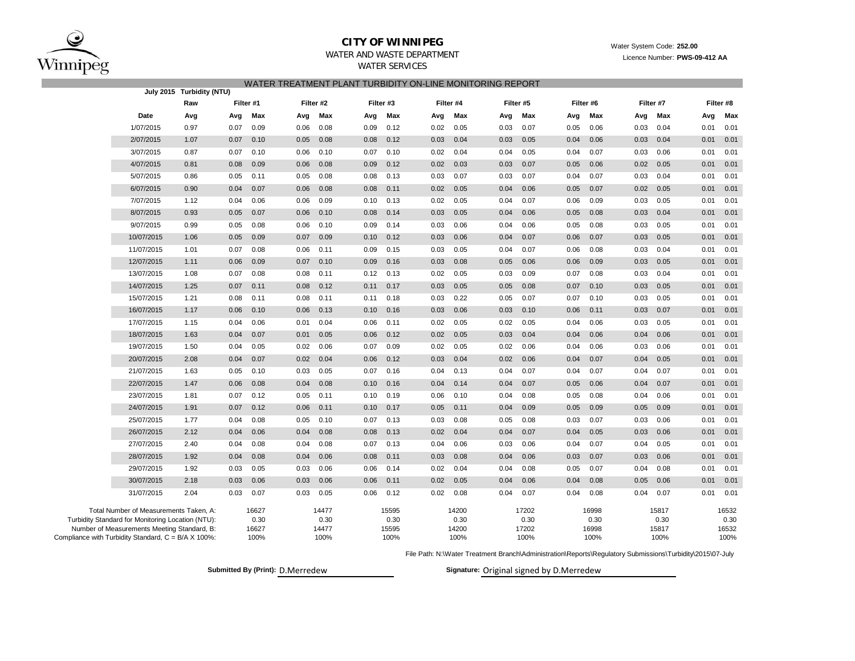

## **CITY OF WINNIPEG**

### WATER AND WASTE DEPARTMENTWATER SERVICES

| WATER TREATMENT PLANT TURBIDITY ON-LINE MONITORING REPORT |  |  |
|-----------------------------------------------------------|--|--|
|                                                           |  |  |

|                                                                                                    |                                                   | July 2015 Turbidity (NTU) |           |               |      |               |           |               |      |               |      |               |      |               |      |               |      |               |
|----------------------------------------------------------------------------------------------------|---------------------------------------------------|---------------------------|-----------|---------------|------|---------------|-----------|---------------|------|---------------|------|---------------|------|---------------|------|---------------|------|---------------|
|                                                                                                    |                                                   | Raw                       | Filter #1 |               |      | Filter #2     | Filter #3 |               |      | Filter #4     |      | Filter #5     |      | Filter #6     |      | Filter #7     |      | Filter #8     |
|                                                                                                    | Date                                              | Avg                       | Avg       | Max           | Avg  | Max           | Avg       | Max           | Avg  | Max           | Avg  | Max           | Avg  | Max           | Avg  | Max           | Avg  | Max           |
|                                                                                                    | 1/07/2015                                         | 0.97                      | 0.07      | 0.09          | 0.06 | 0.08          | 0.09      | 0.12          | 0.02 | 0.05          | 0.03 | 0.07          | 0.05 | 0.06          | 0.03 | 0.04          | 0.01 | 0.01          |
|                                                                                                    | 2/07/2015                                         | 1.07                      | 0.07      | 0.10          | 0.05 | 0.08          | 0.08      | 0.12          | 0.03 | 0.04          | 0.03 | 0.05          | 0.04 | 0.06          | 0.03 | 0.04          | 0.01 | 0.01          |
|                                                                                                    | 3/07/2015                                         | 0.87                      | 0.07      | 0.10          | 0.06 | 0.10          | 0.07      | 0.10          | 0.02 | 0.04          | 0.04 | 0.05          | 0.04 | 0.07          | 0.03 | 0.06          | 0.01 | 0.01          |
|                                                                                                    | 4/07/2015                                         | 0.81                      | 0.08      | 0.09          | 0.06 | 0.08          | 0.09      | 0.12          | 0.02 | 0.03          | 0.03 | 0.07          | 0.05 | 0.06          | 0.02 | 0.05          | 0.01 | 0.01          |
|                                                                                                    | 5/07/2015                                         | 0.86                      | 0.05      | 0.11          | 0.05 | 0.08          | 0.08      | 0.13          | 0.03 | 0.07          | 0.03 | 0.07          | 0.04 | 0.07          | 0.03 | 0.04          | 0.01 | 0.01          |
|                                                                                                    | 6/07/2015                                         | 0.90                      | 0.04      | 0.07          | 0.06 | 0.08          | 0.08      | 0.11          | 0.02 | 0.05          | 0.04 | 0.06          | 0.05 | 0.07          | 0.02 | 0.05          | 0.01 | 0.01          |
|                                                                                                    | 7/07/2015                                         | 1.12                      | 0.04      | 0.06          | 0.06 | 0.09          | 0.10      | 0.13          | 0.02 | 0.05          | 0.04 | 0.07          | 0.06 | 0.09          | 0.03 | 0.05          | 0.01 | 0.01          |
|                                                                                                    | 8/07/2015                                         | 0.93                      | 0.05      | 0.07          | 0.06 | 0.10          | 0.08      | 0.14          | 0.03 | 0.05          | 0.04 | 0.06          | 0.05 | 0.08          | 0.03 | 0.04          | 0.01 | 0.01          |
|                                                                                                    | 9/07/2015                                         | 0.99                      | 0.05      | 0.08          | 0.06 | 0.10          | 0.09      | 0.14          | 0.03 | 0.06          | 0.04 | 0.06          | 0.05 | 0.08          | 0.03 | 0.05          | 0.01 | 0.01          |
|                                                                                                    | 10/07/2015                                        | 1.06                      | 0.05      | 0.09          | 0.07 | 0.09          | 0.10      | 0.12          | 0.03 | 0.06          | 0.04 | 0.07          | 0.06 | 0.07          | 0.03 | 0.05          | 0.01 | 0.01          |
|                                                                                                    | 11/07/2015                                        | 1.01                      | 0.07      | 0.08          | 0.06 | 0.11          | 0.09      | 0.15          | 0.03 | 0.05          | 0.04 | 0.07          | 0.06 | 0.08          | 0.03 | 0.04          | 0.01 | 0.01          |
|                                                                                                    | 12/07/2015                                        | 1.11                      | 0.06      | 0.09          | 0.07 | 0.10          | 0.09      | 0.16          | 0.03 | 0.08          | 0.05 | 0.06          | 0.06 | 0.09          | 0.03 | 0.05          | 0.01 | 0.01          |
|                                                                                                    | 13/07/2015                                        | 1.08                      | 0.07      | 0.08          | 0.08 | 0.11          | 0.12      | 0.13          | 0.02 | 0.05          | 0.03 | 0.09          | 0.07 | 0.08          | 0.03 | 0.04          | 0.01 | 0.01          |
|                                                                                                    | 14/07/2015                                        | 1.25                      | 0.07      | 0.11          | 0.08 | 0.12          | 0.11      | 0.17          | 0.03 | 0.05          | 0.05 | 0.08          | 0.07 | 0.10          | 0.03 | 0.05          | 0.01 | 0.01          |
|                                                                                                    | 15/07/2015                                        | 1.21                      | 0.08      | 0.11          | 0.08 | 0.11          | 0.11      | 0.18          | 0.03 | 0.22          | 0.05 | 0.07          | 0.07 | 0.10          | 0.03 | 0.05          | 0.01 | 0.01          |
|                                                                                                    | 16/07/2015                                        | 1.17                      | 0.06      | 0.10          | 0.06 | 0.13          | 0.10      | 0.16          | 0.03 | 0.06          | 0.03 | 0.10          | 0.06 | 0.11          | 0.03 | 0.07          | 0.01 | 0.01          |
|                                                                                                    | 17/07/2015                                        | 1.15                      | 0.04      | 0.06          | 0.01 | 0.04          | 0.06      | 0.11          | 0.02 | 0.05          | 0.02 | 0.05          | 0.04 | 0.06          | 0.03 | 0.05          | 0.01 | 0.01          |
|                                                                                                    | 18/07/2015                                        | 1.63                      | 0.04      | 0.07          | 0.01 | 0.05          | 0.06      | 0.12          | 0.02 | 0.05          | 0.03 | 0.04          | 0.04 | 0.06          | 0.04 | 0.06          | 0.01 | 0.01          |
|                                                                                                    | 19/07/2015                                        | 1.50                      | 0.04      | 0.05          | 0.02 | 0.06          | 0.07      | 0.09          | 0.02 | 0.05          | 0.02 | 0.06          | 0.04 | 0.06          | 0.03 | 0.06          | 0.01 | 0.01          |
|                                                                                                    | 20/07/2015                                        | 2.08                      | 0.04      | 0.07          | 0.02 | 0.04          | 0.06      | 0.12          | 0.03 | 0.04          | 0.02 | 0.06          | 0.04 | 0.07          | 0.04 | 0.05          | 0.01 | 0.01          |
|                                                                                                    | 21/07/2015                                        | 1.63                      | 0.05      | 0.10          | 0.03 | 0.05          | 0.07      | 0.16          | 0.04 | 0.13          | 0.04 | 0.07          | 0.04 | 0.07          | 0.04 | 0.07          | 0.01 | 0.01          |
|                                                                                                    | 22/07/2015                                        | 1.47                      | 0.06      | 0.08          | 0.04 | 0.08          | 0.10      | 0.16          | 0.04 | 0.14          | 0.04 | 0.07          | 0.05 | 0.06          | 0.04 | 0.07          | 0.01 | 0.01          |
|                                                                                                    | 23/07/2015                                        | 1.81                      | 0.07      | 0.12          | 0.05 | 0.11          | 0.10      | 0.19          | 0.06 | 0.10          | 0.04 | 0.08          | 0.05 | 0.08          | 0.04 | 0.06          | 0.01 | 0.01          |
|                                                                                                    | 24/07/2015                                        | 1.91                      | 0.07      | 0.12          | 0.06 | 0.11          | 0.10      | 0.17          | 0.05 | 0.11          | 0.04 | 0.09          | 0.05 | 0.09          | 0.05 | 0.09          | 0.01 | 0.01          |
|                                                                                                    | 25/07/2015                                        | 1.77                      | 0.04      | 0.08          | 0.05 | 0.10          | 0.07      | 0.13          | 0.03 | 0.08          | 0.05 | 0.08          | 0.03 | 0.07          | 0.03 | 0.06          | 0.01 | 0.01          |
|                                                                                                    | 26/07/2015                                        | 2.12                      | 0.04      | 0.06          | 0.04 | 0.08          | 0.08      | 0.13          | 0.02 | 0.04          | 0.04 | 0.07          | 0.04 | 0.05          | 0.03 | 0.06          | 0.01 | 0.01          |
|                                                                                                    | 27/07/2015                                        | 2.40                      | 0.04      | 0.08          | 0.04 | 0.08          | 0.07      | 0.13          | 0.04 | 0.06          | 0.03 | 0.06          | 0.04 | 0.07          | 0.04 | 0.05          | 0.01 | 0.01          |
|                                                                                                    | 28/07/2015                                        | 1.92                      | 0.04      | 0.08          | 0.04 | 0.06          | 0.08      | 0.11          | 0.03 | 0.08          | 0.04 | 0.06          | 0.03 | 0.07          | 0.03 | 0.06          | 0.01 | 0.01          |
|                                                                                                    | 29/07/2015                                        | 1.92                      | 0.03      | 0.05          | 0.03 | 0.06          | 0.06      | 0.14          | 0.02 | 0.04          | 0.04 | 0.08          | 0.05 | 0.07          | 0.04 | 0.08          | 0.01 | 0.01          |
|                                                                                                    | 30/07/2015                                        | 2.18                      | 0.03      | 0.06          | 0.03 | 0.06          | 0.06      | 0.11          | 0.02 | 0.05          | 0.04 | 0.06          | 0.04 | 0.08          | 0.05 | 0.06          | 0.01 | 0.01          |
|                                                                                                    | 31/07/2015                                        | 2.04                      | 0.03      | 0.07          | 0.03 | 0.05          | 0.06      | 0.12          | 0.02 | 0.08          | 0.04 | 0.07          | 0.04 | 0.08          | 0.04 | 0.07          | 0.01 | 0.01          |
|                                                                                                    | Total Number of Measurements Taken, A:            |                           |           | 16627         |      | 14477         |           | 15595         |      | 14200         |      | 17202         |      | 16998         |      | 15817         |      | 16532         |
|                                                                                                    | Turbidity Standard for Monitoring Location (NTU): |                           |           | 0.30<br>16627 |      | 0.30<br>14477 |           | 0.30<br>15595 |      | 0.30<br>14200 |      | 0.30<br>17202 |      | 0.30<br>16998 |      | 0.30<br>15817 |      | 0.30<br>16532 |
| Number of Measurements Meeting Standard, B:<br>Compliance with Turbidity Standard, C = B/A X 100%: |                                                   |                           |           | 100%          |      | 100%          |           | 100%          |      | 100%          |      | 100%          |      | 100%          |      | 100%          |      | 100%          |

File Path: N:\Water Treatment Branch\Administration\Reports\Regulatory Submissions\Turbidity\2015\07-July

**Submitted By (Print): D.Merredew** 

Signature: Original signed by D.Merredew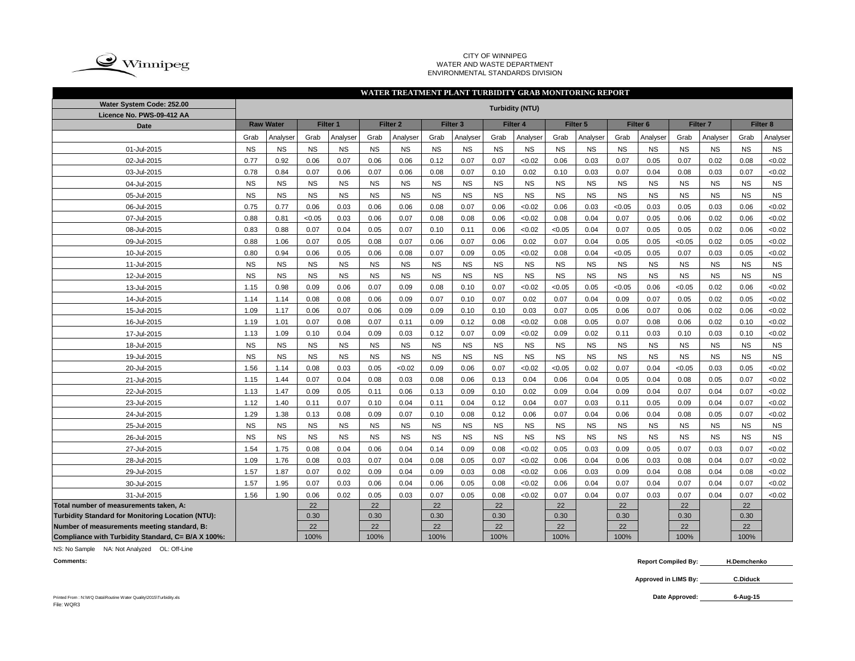

#### CITY OF WINNIPEG WATER AND WASTE DEPARTMENT ENVIRONMENTAL STANDARDS DIVISION

## **WATER TREATMENT PLANT TURBIDITY GRAB MONITORING REPORT**

| Water System Code: 252.00<br>Licence No. PWS-09-412 AA | <b>Turbidity (NTU)</b> |                  |           |           |           |                     |           |                     |           |           |           |           |                     |           |                     |           |           |           |
|--------------------------------------------------------|------------------------|------------------|-----------|-----------|-----------|---------------------|-----------|---------------------|-----------|-----------|-----------|-----------|---------------------|-----------|---------------------|-----------|-----------|-----------|
| Date                                                   |                        | <b>Raw Water</b> |           | Filter 1  |           | Filter <sub>2</sub> |           | Filter <sub>3</sub> |           | Filter 4  |           | Filter 5  | Filter <sub>6</sub> |           | Filter <sub>7</sub> |           | Filter 8  |           |
|                                                        | Grab                   | Analyser         | Grab      | Analyser  | Grab      | Analyser            | Grab      | Analyser            | Grab      | Analyser  | Grab      | Analyser  | Grab                | Analyser  | Grab                | Analyser  | Grab      | Analyser  |
| 01-Jul-2015                                            | <b>NS</b>              | <b>NS</b>        | <b>NS</b> | <b>NS</b> | <b>NS</b> | <b>NS</b>           | <b>NS</b> | <b>NS</b>           | <b>NS</b> | <b>NS</b> | <b>NS</b> | <b>NS</b> | <b>NS</b>           | <b>NS</b> | <b>NS</b>           | <b>NS</b> | <b>NS</b> | <b>NS</b> |
| 02-Jul-2015                                            | 0.77                   | 0.92             | 0.06      | 0.07      | 0.06      | 0.06                | 0.12      | 0.07                | 0.07      | < 0.02    | 0.06      | 0.03      | 0.07                | 0.05      | 0.07                | 0.02      | 0.08      | <0.02     |
| 03-Jul-2015                                            | 0.78                   | 0.84             | 0.07      | 0.06      | 0.07      | 0.06                | 0.08      | 0.07                | 0.10      | 0.02      | 0.10      | 0.03      | 0.07                | 0.04      | 0.08                | 0.03      | 0.07      | <0.02     |
| 04-Jul-2015                                            | <b>NS</b>              | <b>NS</b>        | <b>NS</b> | <b>NS</b> | <b>NS</b> | <b>NS</b>           | <b>NS</b> | <b>NS</b>           | <b>NS</b> | <b>NS</b> | <b>NS</b> | <b>NS</b> | <b>NS</b>           | <b>NS</b> | <b>NS</b>           | <b>NS</b> | <b>NS</b> | <b>NS</b> |
| 05-Jul-2015                                            | <b>NS</b>              | <b>NS</b>        | <b>NS</b> | <b>NS</b> | <b>NS</b> | <b>NS</b>           | <b>NS</b> | <b>NS</b>           | <b>NS</b> | <b>NS</b> | <b>NS</b> | <b>NS</b> | <b>NS</b>           | <b>NS</b> | <b>NS</b>           | <b>NS</b> | <b>NS</b> | <b>NS</b> |
| 06-Jul-2015                                            | 0.75                   | 0.77             | 0.06      | 0.03      | 0.06      | 0.06                | 0.08      | 0.07                | 0.06      | <0.02     | 0.06      | 0.03      | < 0.05              | 0.03      | 0.05                | 0.03      | 0.06      | <0.02     |
| 07-Jul-2015                                            | 0.88                   | 0.81             | < 0.05    | 0.03      | 0.06      | 0.07                | 0.08      | 0.08                | 0.06      | < 0.02    | 0.08      | 0.04      | 0.07                | 0.05      | 0.06                | 0.02      | 0.06      | <0.02     |
| 08-Jul-2015                                            | 0.83                   | 0.88             | 0.07      | 0.04      | 0.05      | 0.07                | 0.10      | 0.11                | 0.06      | <0.02     | < 0.05    | 0.04      | 0.07                | 0.05      | 0.05                | 0.02      | 0.06      | <0.02     |
| 09-Jul-2015                                            | 0.88                   | 1.06             | 0.07      | 0.05      | 0.08      | 0.07                | 0.06      | 0.07                | 0.06      | 0.02      | 0.07      | 0.04      | 0.05                | 0.05      | <0.05               | 0.02      | 0.05      | <0.02     |
| 10-Jul-2015                                            | 0.80                   | 0.94             | 0.06      | 0.05      | 0.06      | 0.08                | 0.07      | 0.09                | 0.05      | < 0.02    | 0.08      | 0.04      | < 0.05              | 0.05      | 0.07                | 0.03      | 0.05      | <0.02     |
| 11-Jul-2015                                            | <b>NS</b>              | <b>NS</b>        | <b>NS</b> | <b>NS</b> | <b>NS</b> | <b>NS</b>           | <b>NS</b> | <b>NS</b>           | <b>NS</b> | <b>NS</b> | <b>NS</b> | <b>NS</b> | <b>NS</b>           | <b>NS</b> | <b>NS</b>           | <b>NS</b> | <b>NS</b> | <b>NS</b> |
| 12-Jul-2015                                            | <b>NS</b>              | <b>NS</b>        | <b>NS</b> | <b>NS</b> | <b>NS</b> | <b>NS</b>           | <b>NS</b> | <b>NS</b>           | <b>NS</b> | <b>NS</b> | <b>NS</b> | <b>NS</b> | <b>NS</b>           | <b>NS</b> | <b>NS</b>           | <b>NS</b> | <b>NS</b> | <b>NS</b> |
| 13-Jul-2015                                            | 1.15                   | 0.98             | 0.09      | 0.06      | 0.07      | 0.09                | 0.08      | 0.10                | 0.07      | < 0.02    | < 0.05    | 0.05      | < 0.05              | 0.06      | < 0.05              | 0.02      | 0.06      | <0.02     |
| 14-Jul-2015                                            | 1.14                   | 1.14             | 0.08      | 0.08      | 0.06      | 0.09                | 0.07      | 0.10                | 0.07      | 0.02      | 0.07      | 0.04      | 0.09                | 0.07      | 0.05                | 0.02      | 0.05      | <0.02     |
| 15-Jul-2015                                            | 1.09                   | 1.17             | 0.06      | 0.07      | 0.06      | 0.09                | 0.09      | 0.10                | 0.10      | 0.03      | 0.07      | 0.05      | 0.06                | 0.07      | 0.06                | 0.02      | 0.06      | < 0.02    |
| 16-Jul-2015                                            | 1.19                   | 1.01             | 0.07      | 0.08      | 0.07      | 0.11                | 0.09      | 0.12                | 0.08      | < 0.02    | 0.08      | 0.05      | 0.07                | 0.08      | 0.06                | 0.02      | 0.10      | <0.02     |
| 17-Jul-2015                                            | 1.13                   | 1.09             | 0.10      | 0.04      | 0.09      | 0.03                | 0.12      | 0.07                | 0.09      | < 0.02    | 0.09      | 0.02      | 0.11                | 0.03      | 0.10                | 0.03      | 0.10      | <0.02     |
| 18-Jul-2015                                            | <b>NS</b>              | <b>NS</b>        | <b>NS</b> | <b>NS</b> | <b>NS</b> | <b>NS</b>           | <b>NS</b> | <b>NS</b>           | <b>NS</b> | <b>NS</b> | <b>NS</b> | <b>NS</b> | <b>NS</b>           | <b>NS</b> | <b>NS</b>           | <b>NS</b> | <b>NS</b> | <b>NS</b> |
| 19-Jul-2015                                            | <b>NS</b>              | <b>NS</b>        | <b>NS</b> | <b>NS</b> | <b>NS</b> | <b>NS</b>           | <b>NS</b> | <b>NS</b>           | <b>NS</b> | <b>NS</b> | <b>NS</b> | <b>NS</b> | <b>NS</b>           | <b>NS</b> | <b>NS</b>           | <b>NS</b> | <b>NS</b> | <b>NS</b> |
| 20-Jul-2015                                            | 1.56                   | 1.14             | 0.08      | 0.03      | 0.05      | < 0.02              | 0.09      | 0.06                | 0.07      | < 0.02    | < 0.05    | 0.02      | 0.07                | 0.04      | < 0.05              | 0.03      | 0.05      | <0.02     |
| 21-Jul-2015                                            | 1.15                   | 1.44             | 0.07      | 0.04      | 0.08      | 0.03                | 0.08      | 0.06                | 0.13      | 0.04      | 0.06      | 0.04      | 0.05                | 0.04      | 0.08                | 0.05      | 0.07      | <0.02     |
| 22-Jul-2015                                            | 1.13                   | 1.47             | 0.09      | 0.05      | 0.11      | 0.06                | 0.13      | 0.09                | 0.10      | 0.02      | 0.09      | 0.04      | 0.09                | 0.04      | 0.07                | 0.04      | 0.07      | <0.02     |
| 23-Jul-2015                                            | 1.12                   | 1.40             | 0.11      | 0.07      | 0.10      | 0.04                | 0.11      | 0.04                | 0.12      | 0.04      | 0.07      | 0.03      | 0.11                | 0.05      | 0.09                | 0.04      | 0.07      | <0.02     |
| 24-Jul-2015                                            | 1.29                   | 1.38             | 0.13      | 0.08      | 0.09      | 0.07                | 0.10      | 0.08                | 0.12      | 0.06      | 0.07      | 0.04      | 0.06                | 0.04      | 0.08                | 0.05      | 0.07      | <0.02     |
| 25-Jul-2015                                            | <b>NS</b>              | <b>NS</b>        | <b>NS</b> | <b>NS</b> | <b>NS</b> | <b>NS</b>           | <b>NS</b> | <b>NS</b>           | <b>NS</b> | <b>NS</b> | <b>NS</b> | <b>NS</b> | <b>NS</b>           | <b>NS</b> | <b>NS</b>           | <b>NS</b> | <b>NS</b> | <b>NS</b> |
| 26-Jul-2015                                            | <b>NS</b>              | <b>NS</b>        | <b>NS</b> | <b>NS</b> | <b>NS</b> | <b>NS</b>           | <b>NS</b> | <b>NS</b>           | <b>NS</b> | <b>NS</b> | <b>NS</b> | <b>NS</b> | <b>NS</b>           | <b>NS</b> | <b>NS</b>           | <b>NS</b> | <b>NS</b> | <b>NS</b> |
| 27-Jul-2015                                            | 1.54                   | 1.75             | 0.08      | 0.04      | 0.06      | 0.04                | 0.14      | 0.09                | 0.08      | < 0.02    | 0.05      | 0.03      | 0.09                | 0.05      | 0.07                | 0.03      | 0.07      | <0.02     |
| 28-Jul-2015                                            | 1.09                   | 1.76             | 0.08      | 0.03      | 0.07      | 0.04                | 0.08      | 0.05                | 0.07      | < 0.02    | 0.06      | 0.04      | 0.06                | 0.03      | 0.08                | 0.04      | 0.07      | <0.02     |
| 29-Jul-2015                                            | 1.57                   | 1.87             | 0.07      | 0.02      | 0.09      | 0.04                | 0.09      | 0.03                | 0.08      | < 0.02    | 0.06      | 0.03      | 0.09                | 0.04      | 0.08                | 0.04      | 0.08      | <0.02     |
| 30-Jul-2015                                            | 1.57                   | 1.95             | 0.07      | 0.03      | 0.06      | 0.04                | 0.06      | 0.05                | 0.08      | < 0.02    | 0.06      | 0.04      | 0.07                | 0.04      | 0.07                | 0.04      | 0.07      | <0.02     |
| 31-Jul-2015                                            | 1.56                   | 1.90             | 0.06      | 0.02      | 0.05      | 0.03                | 0.07      | 0.05                | 0.08      | < 0.02    | 0.07      | 0.04      | 0.07                | 0.03      | 0.07                | 0.04      | 0.07      | <0.02     |
| Total number of measurements taken, A:                 |                        |                  | 22        |           | 22        |                     | 22        |                     | 22        |           | 22        |           | 22                  |           | 22                  |           | 22        |           |
| Turbidity Standard for Monitoring Location (NTU):      |                        |                  | 0.30      |           | 0.30      |                     | 0.30      |                     | 0.30      |           | 0.30      |           | 0.30                |           | 0.30                |           | 0.30      |           |
| Number of measurements meeting standard, B:            |                        |                  | 22        |           | 22        |                     | 22        |                     | 22        |           | 22        |           | 22                  |           | 22                  |           | 22        |           |
| Compliance with Turbidity Standard, C= B/A X 100%:     |                        |                  | 100%      |           | 100%      |                     | 100%      |                     | 100%      |           | 100%      |           | 100%                |           | 100%                |           | 100%      |           |

NS: No Sample NA: Not Analyzed OL: Off-Line

**Comments: Report Compiled By: H.Demchenko**

> **Approved in LIMS By: C.Diduck**

**6-Aug-15**

Printed From : N:\WQ Data\Routine Water Quality\2015\Turbidity.xls **Date Approved:** File: WQR3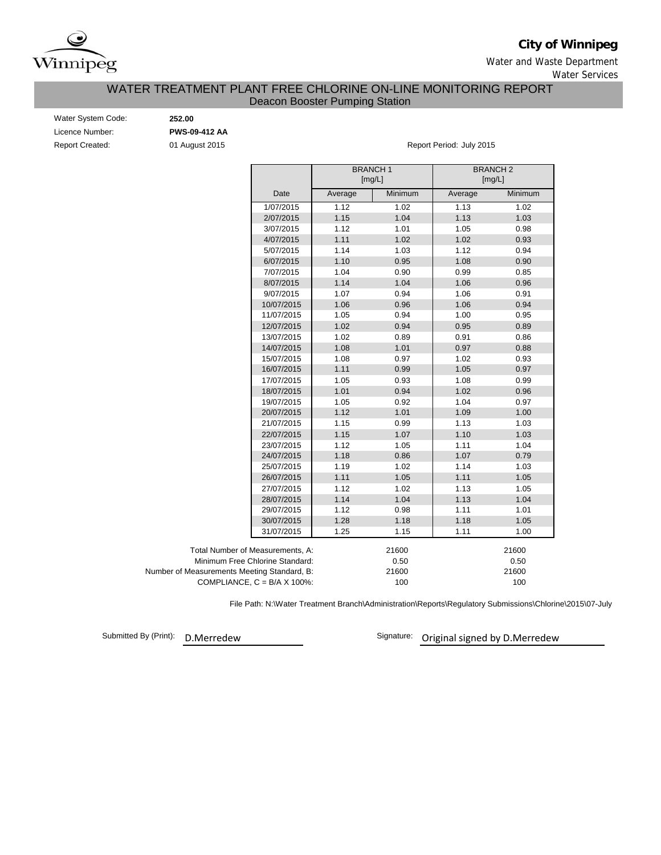

**City of Winnipeg**

Water and Waste Department Water Services

## Deacon Booster Pumping Station WATER TREATMENT PLANT FREE CHLORINE ON-LINE MONITORING REPORT

| Water System Code:     |
|------------------------|
| Licence Number:        |
| <b>Report Created:</b> |

Water System Code: **252.00** Licence Number: **PWS-09-412 AA**

01 August 2015 **Report Period: July 2015** 

|                                             |         | <b>BRANCH1</b><br>[mg/L] |         | <b>BRANCH2</b><br>[mg/L] |
|---------------------------------------------|---------|--------------------------|---------|--------------------------|
| Date                                        | Average | Minimum                  | Average | Minimum                  |
| 1/07/2015                                   | 1.12    | 1.02                     | 1.13    | 1.02                     |
| 2/07/2015                                   | 1.15    | 1.04                     | 1.13    | 1.03                     |
| 3/07/2015                                   | 1.12    | 1.01                     | 1.05    | 0.98                     |
| 4/07/2015                                   | 1.11    | 1.02                     | 1.02    | 0.93                     |
| 5/07/2015                                   | 1.14    | 1.03                     | 1.12    | 0.94                     |
| 6/07/2015                                   | 1.10    | 0.95                     | 1.08    | 0.90                     |
| 7/07/2015                                   | 1.04    | 0.90                     | 0.99    | 0.85                     |
| 8/07/2015                                   | 1.14    | 1.04                     | 1.06    | 0.96                     |
| 9/07/2015                                   | 1.07    | 0.94                     | 1.06    | 0.91                     |
| 10/07/2015                                  | 1.06    | 0.96                     | 1.06    | 0.94                     |
| 11/07/2015                                  | 1.05    | 0.94                     | 1.00    | 0.95                     |
| 12/07/2015                                  | 1.02    | 0.94                     | 0.95    | 0.89                     |
| 13/07/2015                                  | 1.02    | 0.89                     | 0.91    | 0.86                     |
| 14/07/2015                                  | 1.08    | 1.01                     | 0.97    | 0.88                     |
| 15/07/2015                                  | 1.08    | 0.97                     | 1.02    | 0.93                     |
| 16/07/2015                                  | 1.11    | 0.99                     | 1.05    | 0.97                     |
| 17/07/2015                                  | 1.05    | 0.93                     | 1.08    | 0.99                     |
| 18/07/2015                                  | 1.01    | 0.94                     | 1.02    | 0.96                     |
| 19/07/2015                                  | 1.05    | 0.92                     | 1.04    | 0.97                     |
| 20/07/2015                                  | 1.12    | 1.01                     | 1.09    | 1.00                     |
| 21/07/2015                                  | 1.15    | 0.99                     | 1.13    | 1.03                     |
| 22/07/2015                                  | 1.15    | 1.07                     | 1.10    | 1.03                     |
| 23/07/2015                                  | 1.12    | 1.05                     | 1.11    | 1.04                     |
| 24/07/2015                                  | 1.18    | 0.86                     | 1.07    | 0.79                     |
| 25/07/2015                                  | 1.19    | 1.02                     | 1.14    | 1.03                     |
| 26/07/2015                                  | 1.11    | 1.05                     | 1.11    | 1.05                     |
| 27/07/2015                                  | 1.12    | 1.02                     | 1.13    | 1.05                     |
| 28/07/2015                                  | 1.14    | 1.04                     | 1.13    | 1.04                     |
| 29/07/2015                                  | 1.12    | 0.98                     | 1.11    | 1.01                     |
| 30/07/2015                                  | 1.28    | 1.18                     | 1.18    | 1.05                     |
| 31/07/2015                                  | 1.25    | 1.15                     | 1.11    | 1.00                     |
| Total Number of Measurements, A:            |         | 21600                    |         | 21600                    |
| Minimum Free Chlorine Standard:             |         | 0.50                     |         | 0.50                     |
| Number of Measurements Meeting Standard, B: |         | 21600                    |         | 21600                    |
| COMPLIANCE, $C = B/A \times 100\%$ :        |         | 100                      |         | 100                      |

File Path: N:\Water Treatment Branch\Administration\Reports\Regulatory Submissions\Chlorine\2015\07-July

Submitted By (Print): D.Merredew

Signature: Original signed by D.Merredew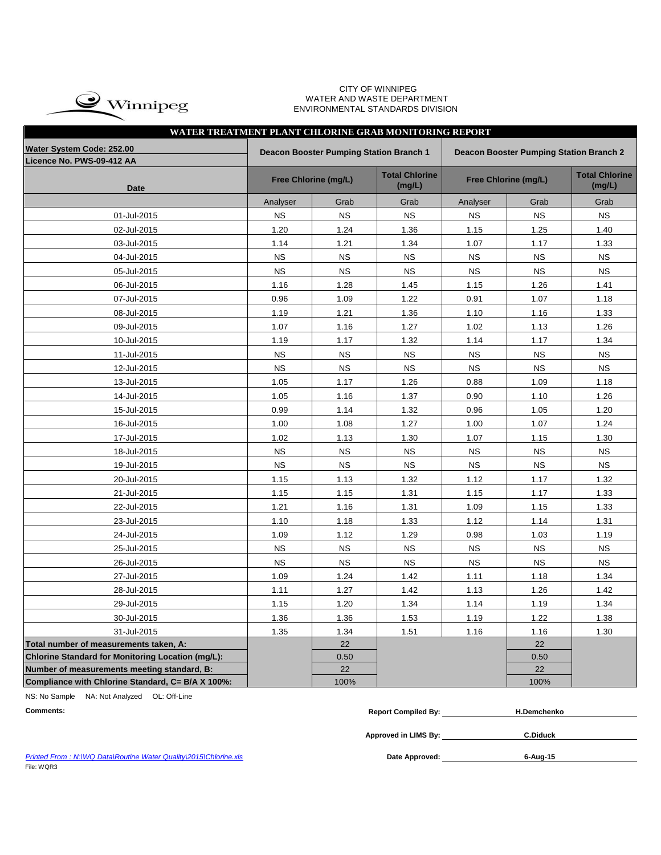

#### CITY OF WINNIPEG WATER AND WASTE DEPARTMENT ENVIRONMENTAL STANDARDS DIVISION

# **WATER TREATMENT PLANT CHLORINE GRAB MONITORING REPORT**

| Water System Code: 252.00                                |             | Deacon Booster Pumping Station Branch 1 |                                 | <b>Deacon Booster Pumping Station Branch 2</b> |                      |                                 |  |  |  |  |  |  |
|----------------------------------------------------------|-------------|-----------------------------------------|---------------------------------|------------------------------------------------|----------------------|---------------------------------|--|--|--|--|--|--|
| Licence No. PWS-09-412 AA                                |             |                                         |                                 |                                                |                      |                                 |  |  |  |  |  |  |
| <b>Date</b>                                              |             | Free Chlorine (mg/L)                    | <b>Total Chlorine</b><br>(mg/L) |                                                | Free Chlorine (mg/L) | <b>Total Chlorine</b><br>(mg/L) |  |  |  |  |  |  |
|                                                          | Analyser    | Grab                                    | Grab                            | Analyser                                       | Grab                 | Grab                            |  |  |  |  |  |  |
| 01-Jul-2015                                              | <b>NS</b>   | <b>NS</b>                               | <b>NS</b>                       | <b>NS</b>                                      | <b>NS</b>            | <b>NS</b>                       |  |  |  |  |  |  |
| 02-Jul-2015                                              | 1.20        | 1.24                                    | 1.36                            | 1.15                                           | 1.25                 | 1.40                            |  |  |  |  |  |  |
| 03-Jul-2015                                              | 1.14        | 1.21                                    | 1.34                            | 1.07                                           | 1.17                 | 1.33                            |  |  |  |  |  |  |
| 04-Jul-2015                                              | <b>NS</b>   | <b>NS</b>                               | <b>NS</b>                       | <b>NS</b>                                      | <b>NS</b>            | <b>NS</b>                       |  |  |  |  |  |  |
| 05-Jul-2015                                              | <b>NS</b>   | <b>NS</b>                               | <b>NS</b>                       | <b>NS</b>                                      | <b>NS</b>            | <b>NS</b>                       |  |  |  |  |  |  |
| 06-Jul-2015                                              | 1.16        | 1.28                                    | 1.45                            | 1.15                                           | 1.26                 | 1.41                            |  |  |  |  |  |  |
| 07-Jul-2015                                              | 0.96        | 1.09                                    | 1.22                            | 0.91                                           | 1.07                 | 1.18                            |  |  |  |  |  |  |
| 08-Jul-2015                                              | 1.19        | 1.21                                    | 1.36                            | 1.10                                           | 1.16                 | 1.33                            |  |  |  |  |  |  |
| 09-Jul-2015                                              | 1.07        | 1.16                                    | 1.27                            | 1.02                                           | 1.13                 | 1.26                            |  |  |  |  |  |  |
| 10-Jul-2015                                              | 1.19        | 1.17                                    | 1.32                            | 1.14                                           | 1.17                 | 1.34                            |  |  |  |  |  |  |
| 11-Jul-2015                                              | <b>NS</b>   | <b>NS</b>                               | <b>NS</b>                       | <b>NS</b>                                      | <b>NS</b>            | <b>NS</b>                       |  |  |  |  |  |  |
| 12-Jul-2015                                              | <b>NS</b>   | <b>NS</b>                               | <b>NS</b>                       | <b>NS</b>                                      | <b>NS</b>            | <b>NS</b>                       |  |  |  |  |  |  |
| 13-Jul-2015                                              | 1.05        | 1.17                                    | 1.26                            | 0.88                                           | 1.09                 | 1.18                            |  |  |  |  |  |  |
| 14-Jul-2015                                              | 1.05        | 1.16                                    | 1.37                            | 0.90                                           | 1.10                 | 1.26                            |  |  |  |  |  |  |
| 15-Jul-2015                                              | 0.99        | 1.14                                    | 1.32                            | 0.96                                           | 1.05                 | 1.20                            |  |  |  |  |  |  |
| 16-Jul-2015                                              | 1.00        | 1.08                                    | 1.27                            | 1.00                                           | 1.07                 | 1.24                            |  |  |  |  |  |  |
| 17-Jul-2015                                              | 1.02        | 1.13                                    | 1.30                            | 1.07                                           | 1.15                 | 1.30                            |  |  |  |  |  |  |
| 18-Jul-2015                                              | <b>NS</b>   | <b>NS</b>                               | <b>NS</b>                       | $_{\rm NS}$                                    | <b>NS</b>            | NS                              |  |  |  |  |  |  |
| 19-Jul-2015                                              | <b>NS</b>   | <b>NS</b>                               | <b>NS</b>                       | <b>NS</b>                                      | <b>NS</b>            | <b>NS</b>                       |  |  |  |  |  |  |
| 20-Jul-2015                                              | 1.15        | 1.13                                    | 1.32                            | 1.12                                           | 1.17                 | 1.32                            |  |  |  |  |  |  |
| 21-Jul-2015                                              | 1.15        | 1.15                                    | 1.31                            | 1.15                                           | 1.17                 | 1.33                            |  |  |  |  |  |  |
| 22-Jul-2015                                              | 1.21        | 1.16                                    | 1.31                            | 1.09                                           | 1.15                 | 1.33                            |  |  |  |  |  |  |
| 23-Jul-2015                                              | 1.10        | 1.18                                    | 1.33                            | 1.12                                           | 1.14                 | 1.31                            |  |  |  |  |  |  |
| 24-Jul-2015                                              | 1.09        | 1.12                                    | 1.29                            | 0.98                                           | 1.03                 | 1.19                            |  |  |  |  |  |  |
| 25-Jul-2015                                              | <b>NS</b>   | <b>NS</b>                               | <b>NS</b>                       | <b>NS</b>                                      | <b>NS</b>            | <b>NS</b>                       |  |  |  |  |  |  |
| 26-Jul-2015                                              | $_{\rm NS}$ | <b>NS</b>                               | <b>NS</b>                       | <b>NS</b>                                      | <b>NS</b>            | <b>NS</b>                       |  |  |  |  |  |  |
| 27-Jul-2015                                              | 1.09        | 1.24                                    | 1.42                            | 1.11                                           | 1.18                 | 1.34                            |  |  |  |  |  |  |
| 28-Jul-2015                                              | 1.11        | 1.27                                    | 1.42                            | 1.13                                           | 1.26                 | 1.42                            |  |  |  |  |  |  |
| 29-Jul-2015                                              | 1.15        | 1.20                                    | 1.34                            | 1.14                                           | 1.19                 | 1.34                            |  |  |  |  |  |  |
| 30-Jul-2015                                              | 1.36        | 1.36                                    | 1.53                            | 1.19                                           | 1.22                 | 1.38                            |  |  |  |  |  |  |
| 31-Jul-2015                                              | 1.35        | 1.34                                    | 1.51                            | 1.16                                           | 1.16                 | 1.30                            |  |  |  |  |  |  |
| Total number of measurements taken, A:                   |             | 22                                      |                                 |                                                | 22                   |                                 |  |  |  |  |  |  |
| <b>Chlorine Standard for Monitoring Location (mg/L):</b> |             | 0.50                                    |                                 |                                                | 0.50                 |                                 |  |  |  |  |  |  |
| Number of measurements meeting standard, B:              |             | 22                                      |                                 |                                                | 22                   |                                 |  |  |  |  |  |  |
| Compliance with Chlorine Standard, C= B/A X 100%:        |             | 100%                                    |                                 |                                                | 100%                 |                                 |  |  |  |  |  |  |

NS: No Sample NA: Not Analyzed OL: Off-Line

| Comments: | <br><b>Compiled By:</b><br>Renort | Demchenko |
|-----------|-----------------------------------|-----------|
|           |                                   |           |

**Approved in LIMS By: C.Diduck**

Date Approved: 6-Aug-15

**Printed From : N:\WQ Data\Routine Water Quality\2015\Chlorine.xls** File: WQR3